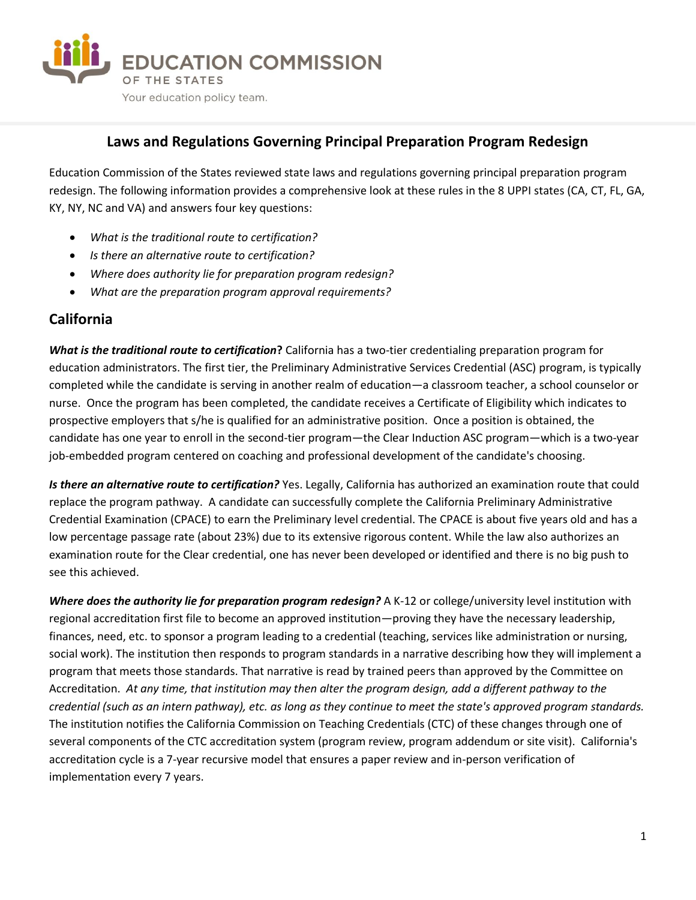

#### **Laws and Regulations Governing Principal Preparation Program Redesign**

Education Commission of the States reviewed state laws and regulations governing principal preparation program redesign. The following information provides a comprehensive look at these rules in the 8 UPPI states (CA, CT, FL, GA, KY, NY, NC and VA) and answers four key questions:

- *What is the traditional route to certification?*
- *Is there an alternative route to certification?*
- *Where does authority lie for preparation program redesign?*
- *What are the preparation program approval requirements?*

#### **California**

*What is the traditional route to certification***?** California has a two-tier credentialing preparation program for education administrators. The first tier, the Preliminary Administrative Services Credential (ASC) program, is typically completed while the candidate is serving in another realm of education—a classroom teacher, a school counselor or nurse. Once the program has been completed, the candidate receives a Certificate of Eligibility which indicates to prospective employers that s/he is qualified for an administrative position. Once a position is obtained, the candidate has one year to enroll in the second-tier program—the Clear Induction ASC program—which is a two-year job-embedded program centered on coaching and professional development of the candidate's choosing.

*Is there an alternative route to certification?* Yes. Legally, California has authorized an examination route that could replace the program pathway. A candidate can successfully complete the California Preliminary Administrative Credential Examination (CPACE) to earn the Preliminary level credential. The CPACE is about five years old and has a low percentage passage rate (about 23%) due to its extensive rigorous content. While the law also authorizes an examination route for the Clear credential, one has never been developed or identified and there is no big push to see this achieved.

*Where does the authority lie for preparation program redesign?* A K-12 or college/university level institution with regional accreditation first file to become an approved institution—proving they have the necessary leadership, finances, need, etc. to sponsor a program leading to a credential (teaching, services like administration or nursing, social work). The institution then responds to program standards in a narrative describing how they will implement a program that meets those standards. That narrative is read by trained peers than approved by the Committee on Accreditation. *At any time, that institution may then alter the program design, add a different pathway to the credential (such as an intern pathway), etc. as long as they continue to meet the state's approved program standards.*  The institution notifies the California Commission on Teaching Credentials (CTC) of these changes through one of several components of the CTC accreditation system (program review, program addendum or site visit). California's accreditation cycle is a 7-year recursive model that ensures a paper review and in-person verification of implementation every 7 years.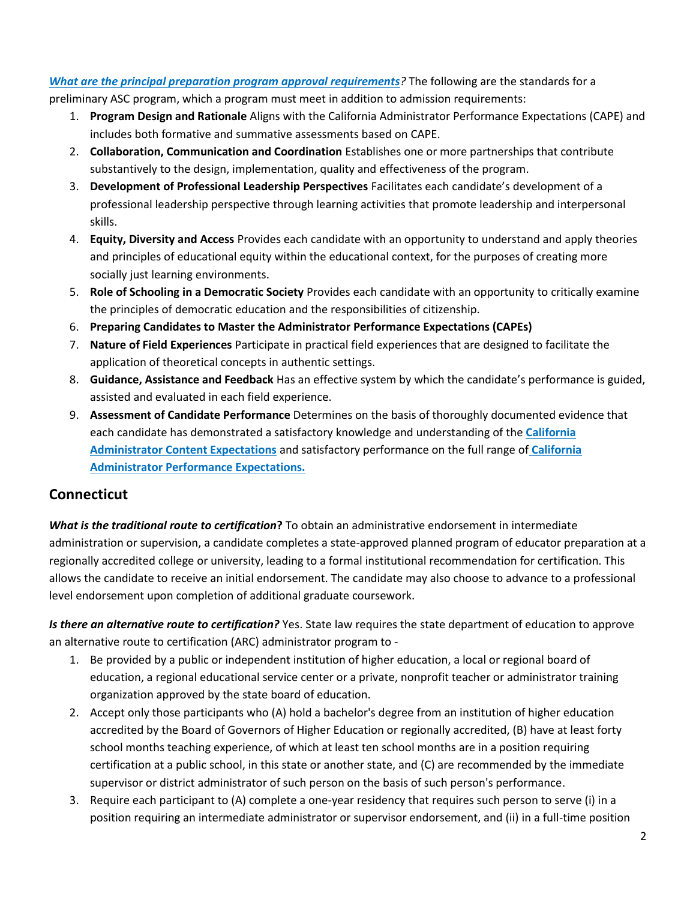*[What are the principal preparation program approval requirements](https://www.ctc.ca.gov/docs/default-source/educator-prep/standards/svc-admin-handbook-2016-pdf.pdf?sfvrsn=80af7e44_0)?* The following are the standards for a preliminary ASC program, which a program must meet in addition to admission requirements:

- 1. **Program Design and Rationale** Aligns with the California Administrator Performance Expectations (CAPE) and includes both formative and summative assessments based on CAPE.
- 2. **Collaboration, Communication and Coordination** Establishes one or more partnerships that contribute substantively to the design, implementation, quality and effectiveness of the program.
- 3. **Development of Professional Leadership Perspectives** Facilitates each candidate's development of a professional leadership perspective through learning activities that promote leadership and interpersonal skills.
- 4. **Equity, Diversity and Access** Provides each candidate with an opportunity to understand and apply theories and principles of educational equity within the educational context, for the purposes of creating more socially just learning environments.
- 5. **Role of Schooling in a Democratic Society** Provides each candidate with an opportunity to critically examine the principles of democratic education and the responsibilities of citizenship.
- 6. **Preparing Candidates to Master the Administrator Performance Expectations (CAPEs)**
- 7. **Nature of Field Experiences** Participate in practical field experiences that are designed to facilitate the application of theoretical concepts in authentic settings.
- 8. **Guidance, Assistance and Feedback** Has an effective system by which the candidate's performance is guided, assisted and evaluated in each field experience.
- 9. **Assessment of Candidate Performance** Determines on the basis of thoroughly documented evidence that each candidate has demonstrated a satisfactory knowledge and understanding of the **[California](https://www.cpp.edu/~ceis/education/educational-admin/documents/edadmin-CACE.pdf)  [Administrator Content Expectations](https://www.cpp.edu/~ceis/education/educational-admin/documents/edadmin-CACE.pdf)** and satisfactory performance on the full range of **[California](https://www.cpp.edu/~ceis/education/educational-admin/documents/edadmin-CAPES.pdf)  [Administrator Performance Expectations.](https://www.cpp.edu/~ceis/education/educational-admin/documents/edadmin-CAPES.pdf)**

# **Connecticut**

*What is the traditional route to certification***?** To obtain an administrative endorsement in intermediate administration or supervision, a candidate completes a state-approved planned program of educator preparation at a regionally accredited college or university, leading to a formal institutional recommendation for certification. This allows the candidate to receive an initial endorsement. The candidate may also choose to advance to a professional level endorsement upon completion of additional graduate coursework.

*Is there an alternative route to certification?* Yes. [State law](https://www.cga.ct.gov/current/pub/chap_166.htm#sec_10-145p) requires the state department of education to approve an alternative route to certification (ARC) administrator program to -

- 1. Be provided by a public or independent institution of higher education, a local or regional board of education, a regional educational service center or a private, nonprofit teacher or administrator training organization approved by the state board of education.
- 2. Accept only those participants who (A) hold a bachelor's degree from an institution of higher education accredited by the Board of Governors of Higher Education or regionally accredited, (B) have at least forty school months teaching experience, of which at least ten school months are in a position requiring certification at a public school, in this state or another state, and (C) are recommended by the immediate supervisor or district administrator of such person on the basis of such person's performance.
- 3. Require each participant to (A) complete a one-year residency that requires such person to serve (i) in a position requiring an intermediate administrator or supervisor endorsement, and (ii) in a full-time position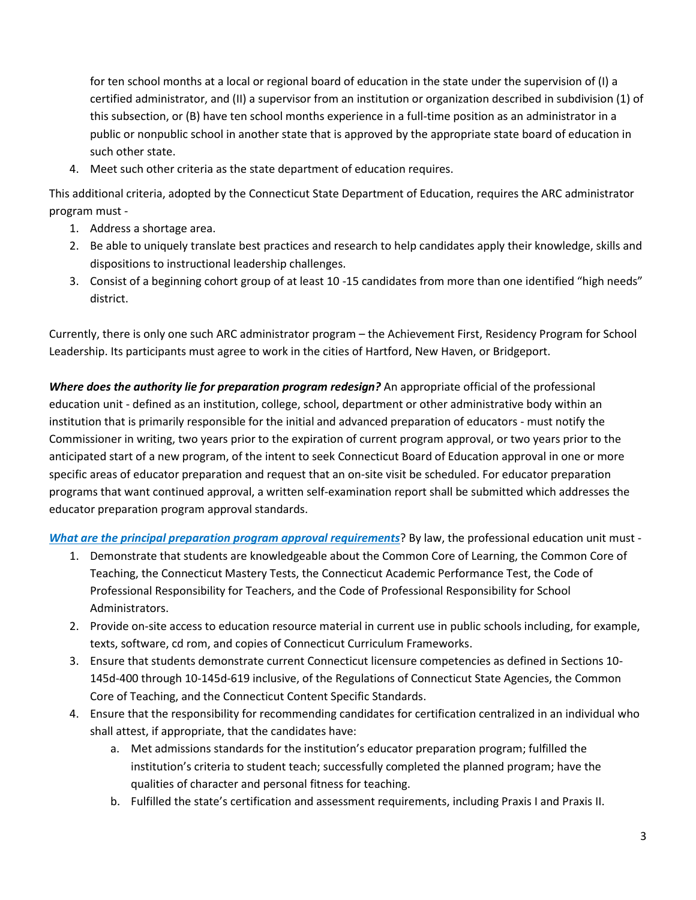for ten school months at a local or regional board of education in the state under the supervision of (I) a certified administrator, and (II) a supervisor from an institution or organization described in subdivision (1) of this subsection, or (B) have ten school months experience in a full-time position as an administrator in a public or nonpublic school in another state that is approved by the appropriate state board of education in such other state.

4. Meet such other criteria as the state department of education requires.

This additional criteria, adopted by the Connecticut State Department of Education, requires the ARC administrator program must -

- 1. Address a shortage area.
- 2. Be able to uniquely translate best practices and research to help candidates apply their knowledge, skills and dispositions to instructional leadership challenges.
- 3. Consist of a beginning cohort group of at least 10 -15 candidates from more than one identified "high needs" district.

Currently, there is only one such ARC administrator program – the Achievement First, Residency Program for School Leadership. Its participants must agree to work in the cities of Hartford, New Haven, or Bridgeport.

*Where does the authority lie for preparation program redesign?* An appropriate official of the professional education unit - defined as an institution, college, school, department or other administrative body within an institution that is primarily responsible for the initial and advanced preparation of educators - must notify the Commissioner in writing, two years prior to the expiration of current program approval, or two years prior to the anticipated start of a new program, of the intent to seek Connecticut Board of Education approval in one or more specific areas of educator preparation and request that an on-site visit be scheduled. For educator preparation programs that want continued approval, a written self-examination report shall be submitted which addresses the educator preparation program approval standards.

*[What are the principal preparation program approval requirements](http://www.sde.ct.gov/sde/cwp/view.asp?a=2613&q=321850)*? By law, the professional education unit must -

- 1. Demonstrate that students are knowledgeable about the Common Core of Learning, the Common Core of Teaching, the Connecticut Mastery Tests, the Connecticut Academic Performance Test, the Code of Professional Responsibility for Teachers, and the Code of Professional Responsibility for School Administrators.
- 2. Provide on-site access to education resource material in current use in public schools including, for example, texts, software, cd rom, and copies of Connecticut Curriculum Frameworks.
- 3. Ensure that students demonstrate current Connecticut licensure competencies as defined in Sections 10- 145d-400 through 10-145d-619 inclusive, of the Regulations of Connecticut State Agencies, the Common Core of Teaching, and the Connecticut Content Specific Standards.
- 4. Ensure that the responsibility for recommending candidates for certification centralized in an individual who shall attest, if appropriate, that the candidates have:
	- a. Met admissions standards for the institution's educator preparation program; fulfilled the institution's criteria to student teach; successfully completed the planned program; have the qualities of character and personal fitness for teaching.
	- b. Fulfilled the state's certification and assessment requirements, including Praxis I and Praxis II.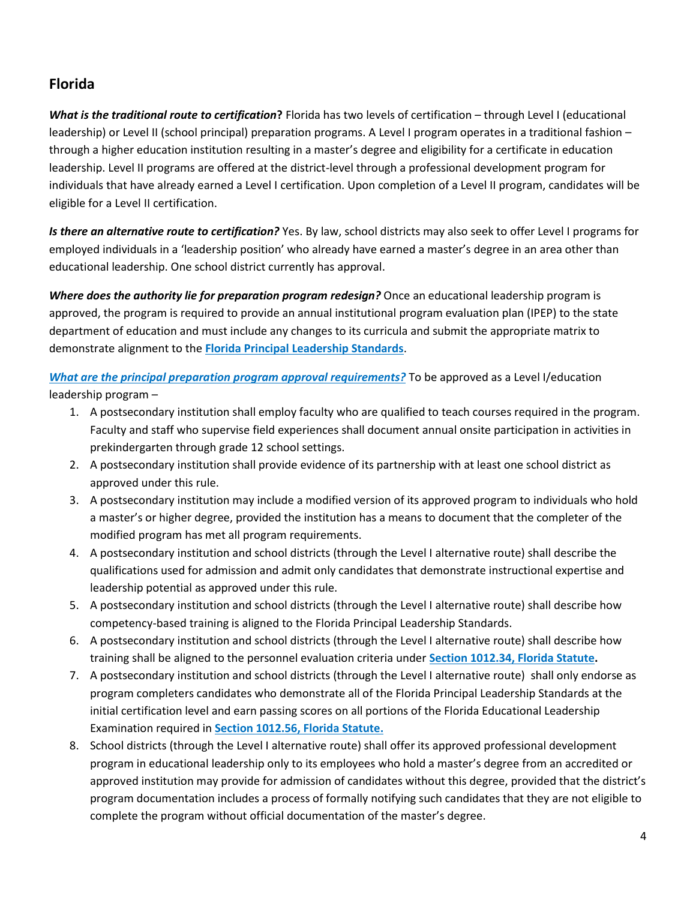# **Florida**

*What is the traditional route to certification***?** Florida has two levels of certification – through Level I (educational leadership) or Level II (school principal) preparation programs. A Level I program operates in a traditional fashion – through a higher education institution resulting in a master's degree and eligibility for a certificate in education leadership. Level II programs are offered at the district-level through a professional development program for individuals that have already earned a Level I certification. Upon completion of a Level II program, candidates will be eligible for a Level II certification.

*Is there an alternative route to certification?* Yes. By law, school districts may also seek to offer Level I programs for employed individuals in a 'leadership position' who already have earned a master's degree in an area other than educational leadership. One school district currently has approval.

*Where does the authority lie for preparation program redesign?* Once an educational leadership program is approved, the program is required to provide an annual institutional program evaluation plan (IPEP) to the state department of education and must include any changes to its curricula and submit the appropriate matrix to demonstrate alignment to the **Florida [Principal Leadership Standards](http://www.fldoe.org/teaching/professional-dev/the-fl-principal-leadership-stards/)**.

*[What are the principal preparation program approval requirements?](https://www.flrules.org/gateway/RuleNo.asp?title=EDUCATOR%20STANDARDS,%20PREPARATION%20AND%20PERFORMANCE&ID=6A-5.081)* To be approved as a Level I/education leadership program –

- 1. A postsecondary institution shall employ faculty who are qualified to teach courses required in the program. Faculty and staff who supervise field experiences shall document annual onsite participation in activities in prekindergarten through grade 12 school settings.
- 2. A postsecondary institution shall provide evidence of its partnership with at least one school district as approved under this rule.
- 3. A postsecondary institution may include a modified version of its approved program to individuals who hold a master's or higher degree, provided the institution has a means to document that the completer of the modified program has met all program requirements.
- 4. A postsecondary institution and school districts (through the Level I alternative route) shall describe the qualifications used for admission and admit only candidates that demonstrate instructional expertise and leadership potential as approved under this rule.
- 5. A postsecondary institution and school districts (through the Level I alternative route) shall describe how competency-based training is aligned to the Florida Principal Leadership Standards.
- 6. A postsecondary institution and school districts (through the Level I alternative route) shall describe how training shall be aligned to the personnel evaluation criteria under **[Section 1012.34, Florida Statute.](http://www.leg.state.fl.us/Statutes/index.cfm?App_mode=Display_Statute&URL=1000-1099/1012/Sections/1012.34.html)**
- 7. A postsecondary institution and school districts (through the Level I alternative route) shall only endorse as program completers candidates who demonstrate all of the Florida Principal Leadership Standards at the initial certification level and earn passing scores on all portions of the Florida Educational Leadership Examination required in **[Section 1012.56, Florida Statute.](http://www.leg.state.fl.us/Statutes/index.cfm?App_mode=Display_Statute&Search_String=&URL=1000-1099/1012/Sections/1012.56.html)**
- 8. School districts (through the Level I alternative route) shall offer its approved professional development program in educational leadership only to its employees who hold a master's degree from an accredited or approved institution may provide for admission of candidates without this degree, provided that the district's program documentation includes a process of formally notifying such candidates that they are not eligible to complete the program without official documentation of the master's degree.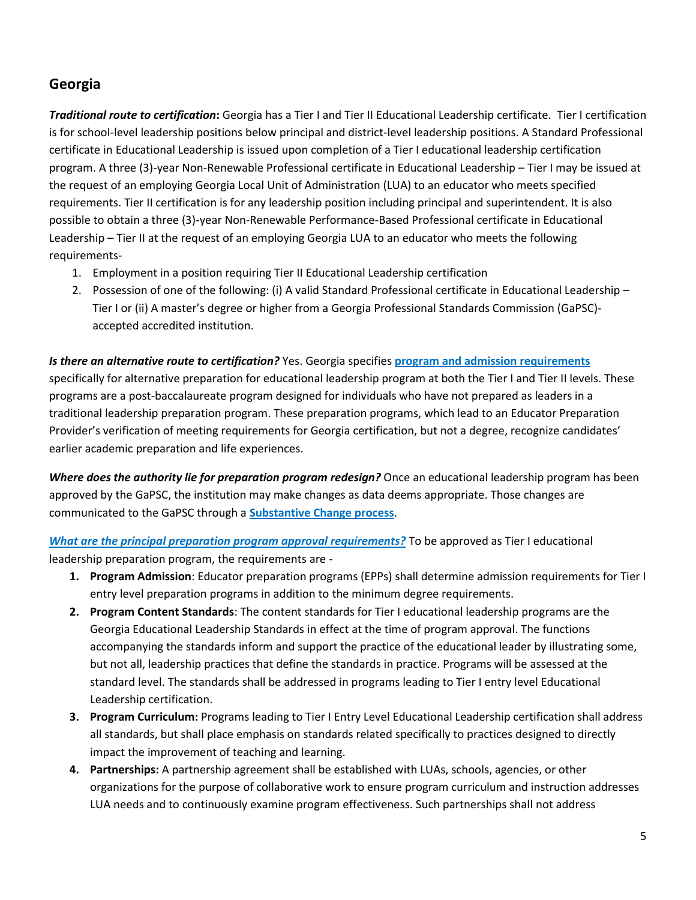#### **Georgia**

*Traditional route to certification***:** Georgia has a Tier I and Tier II Educational Leadership certificate. Tier I certification is for school-level leadership positions below principal and district-level leadership positions. A Standard Professional certificate in Educational Leadership is issued upon completion of a Tier I educational leadership certification program. A three (3)-year Non-Renewable Professional certificate in Educational Leadership – Tier I may be issued at the request of an employing Georgia Local Unit of Administration (LUA) to an educator who meets specified requirements. Tier II certification is for any leadership position including principal and superintendent. It is also possible to obtain a three (3)-year Non-Renewable Performance-Based Professional certificate in Educational Leadership – Tier II at the request of an employing Georgia LUA to an educator who meets the following requirements-

- 1. Employment in a position requiring Tier II Educational Leadership certification
- 2. Possession of one of the following: (i) A valid Standard Professional certificate in Educational Leadership Tier I or (ii) A master's degree or higher from a Georgia Professional Standards Commission (GaPSC) accepted accredited institution.

*Is there an alternative route to certification?* Yes. Georgia specifies **[program and admission requirements](https://www.gapsc.com/Rules/Current/EducatorPreparation/505-3-.76.pdf)** specifically for alternative preparation for educational leadership program at both the Tier I and Tier II levels. These programs are a post-baccalaureate program designed for individuals who have not prepared as leaders in a traditional leadership preparation program. These preparation programs, which lead to an Educator Preparation Provider's verification of meeting requirements for Georgia certification, but not a degree, recognize candidates' earlier academic preparation and life experiences.

*Where does the authority lie for preparation program redesign?* Once an educational leadership program has been approved by the GaPSC, the institution may make changes as data deems appropriate. Those changes are communicated to the GaPSC through a **[Substantive Change process](https://www.gapsc.com/EducatorPreparation/Resources/Downloads/IHE/SubstantiveChangeGuidance_2015.pdf)**.

*[What are the principal preparation program approval requirements?](https://www.gapsc.com/Rules/Current/EducatorPreparation/505-3-.77.pdf)* To be approved as Tier I educational leadership preparation program, the requirements are -

- **1. Program Admission**: Educator preparation programs (EPPs) shall determine admission requirements for Tier I entry level preparation programs in addition to the minimum degree requirements.
- **2. Program Content Standards**: The content standards for Tier I educational leadership programs are the Georgia Educational Leadership Standards in effect at the time of program approval. The functions accompanying the standards inform and support the practice of the educational leader by illustrating some, but not all, leadership practices that define the standards in practice. Programs will be assessed at the standard level. The standards shall be addressed in programs leading to Tier I entry level Educational Leadership certification.
- **3. Program Curriculum:** Programs leading to Tier I Entry Level Educational Leadership certification shall address all standards, but shall place emphasis on standards related specifically to practices designed to directly impact the improvement of teaching and learning.
- **4. Partnerships:** A partnership agreement shall be established with LUAs, schools, agencies, or other organizations for the purpose of collaborative work to ensure program curriculum and instruction addresses LUA needs and to continuously examine program effectiveness. Such partnerships shall not address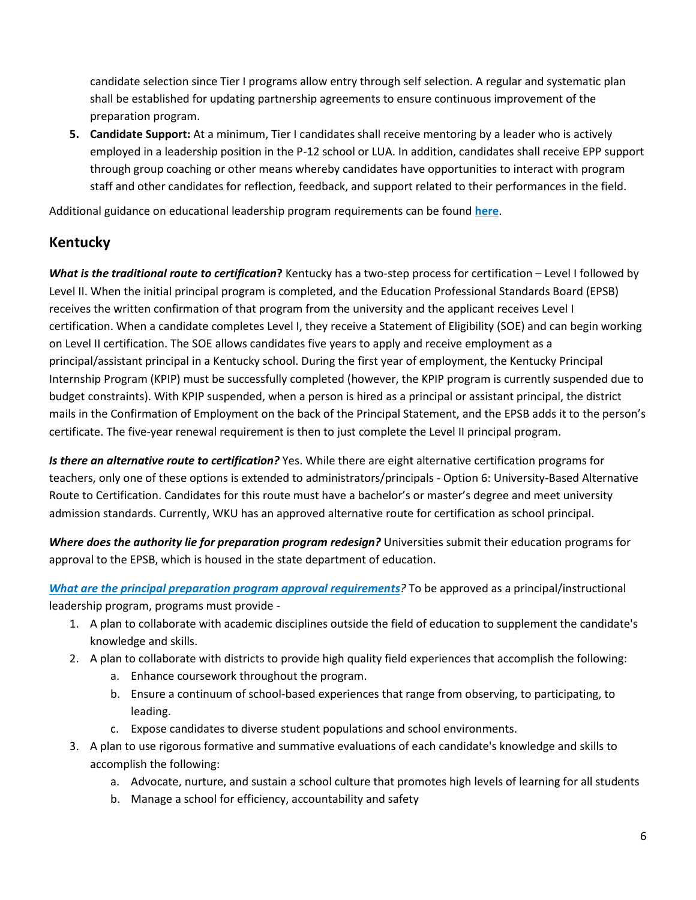candidate selection since Tier I programs allow entry through self selection. A regular and systematic plan shall be established for updating partnership agreements to ensure continuous improvement of the preparation program.

**5. Candidate Support:** At a minimum, Tier I candidates shall receive mentoring by a leader who is actively employed in a leadership position in the P-12 school or LUA. In addition, candidates shall receive EPP support through group coaching or other means whereby candidates have opportunities to interact with program staff and other candidates for reflection, feedback, and support related to their performances in the field.

Additional guidance on educational leadership program requirements can be found **[here](https://www.gapsc.com/EducatorPreparation/Resources/Downloads/IHE/Guidance%20for%20Tiered%20Educational%20Leadership%20Programs.pdf)**.

# **Kentucky**

*What is the traditional route to certification***?** Kentucky has a two-step process for certification – Level I followed by Level II. When the initial principal program is completed, and the Education Professional Standards Board (EPSB) receives the written confirmation of that program from the university and the applicant receives Level I certification. When a candidate completes Level I, they receive a Statement of Eligibility (SOE) and can begin working on Level II certification. The SOE allows candidates five years to apply and receive employment as a principal/assistant principal in a Kentucky school. During the first year of employment, the Kentucky Principal Internship Program (KPIP) must be successfully completed (however, the KPIP program is currently suspended due to budget constraints). With KPIP suspended, when a person is hired as a principal or assistant principal, the district mails in the Confirmation of Employment on the back of the Principal Statement, and the EPSB adds it to the person's certificate. The five-year renewal requirement is then to just complete the Level II principal program.

*Is there an alternative route to certification?* Yes. While there are eight alternative certification programs for teachers, only one of these options is extended to administrators/principals - Option 6: University-Based Alternative Route to Certification. Candidates for this route must have a bachelor's or master's degree and meet university admission standards. Currently, WKU has an approved alternative route for certification as school principal.

*Where does the authority lie for preparation program redesign?* Universities submit their education programs for approval to the EPSB, which is housed in the state department of education.

*[What are the principal preparation program approval requirements](http://www.epsb.ky.gov/teacherprep/prinredesignguidelines.asp)?* To be approved as a principal/instructional leadership program, programs must provide -

- 1. A plan to collaborate with academic disciplines outside the field of education to supplement the candidate's knowledge and skills.
- 2. A plan to collaborate with districts to provide high quality field experiences that accomplish the following:
	- a. Enhance coursework throughout the program.
	- b. Ensure a continuum of school-based experiences that range from observing, to participating, to leading.
	- c. Expose candidates to diverse student populations and school environments.
- 3. A plan to use rigorous formative and summative evaluations of each candidate's knowledge and skills to accomplish the following:
	- a. Advocate, nurture, and sustain a school culture that promotes high levels of learning for all students
	- b. Manage a school for efficiency, accountability and safety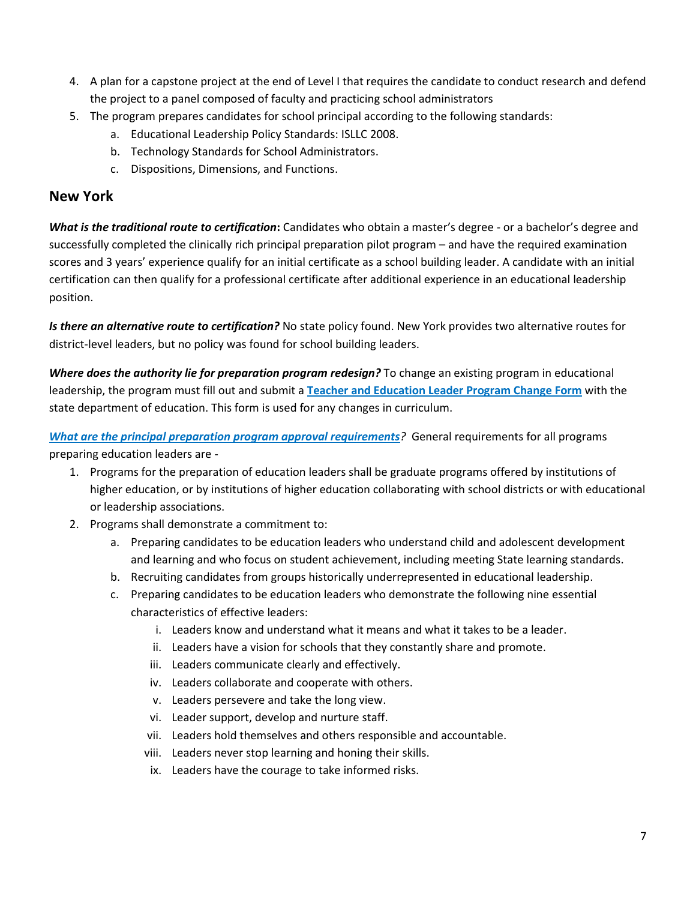- 4. A plan for a capstone project at the end of Level I that requires the candidate to conduct research and defend the project to a panel composed of faculty and practicing school administrators
- 5. The program prepares candidates for school principal according to the following standards:
	- a. Educational Leadership Policy Standards: ISLLC 2008.
	- b. Technology Standards for School Administrators.
	- c. Dispositions, Dimensions, and Functions.

#### **New York**

*What is the traditional route to certification***:** Candidates who obtain a master's degree - or a bachelor's degree and successfully completed the clinically rich principal preparation pilot program – and have the required examination scores and 3 years' experience qualify for an initial certificate as a school building leader. A candidate with an initial certification can then qualify for a professional certificate after additional experience in an educational leadership position.

*Is there an alternative route to certification?* No state policy found. New York provides two alternative routes for district-level leaders, but no policy was found for school building leaders.

*Where does the authority lie for preparation program redesign?* To change an existing program in educational leadership, the program must fill out and submit a **[Teacher and Education Leader Program Change Form](http://www.highered.nysed.gov/ocue/aipr/register-te.html)** with the state department of education. This form is used for any changes in curriculum.

*[What are the principal preparation program approval requirements](https://govt.westlaw.com/nycrr/Document/Ieca6da1bc22111dd97adcd755bda2840?viewType=FullText&originationContext=documenttoc&transitionType=CategoryPageItem&contextData=(sc.Default))?* General requirements for all programs preparing education leaders are -

- 1. Programs for the preparation of education leaders shall be graduate programs offered by institutions of higher education, or by institutions of higher education collaborating with school districts or with educational or leadership associations.
- 2. Programs shall demonstrate a commitment to:
	- a. Preparing candidates to be education leaders who understand child and adolescent development and learning and who focus on student achievement, including meeting State learning standards.
	- b. Recruiting candidates from groups historically underrepresented in educational leadership.
	- c. Preparing candidates to be education leaders who demonstrate the following nine essential characteristics of effective leaders:
		- i. Leaders know and understand what it means and what it takes to be a leader.
		- ii. Leaders have a vision for schools that they constantly share and promote.
		- iii. Leaders communicate clearly and effectively.
		- iv. Leaders collaborate and cooperate with others.
		- v. Leaders persevere and take the long view.
		- vi. Leader support, develop and nurture staff.
		- vii. Leaders hold themselves and others responsible and accountable.
		- viii. Leaders never stop learning and honing their skills.
		- ix. Leaders have the courage to take informed risks.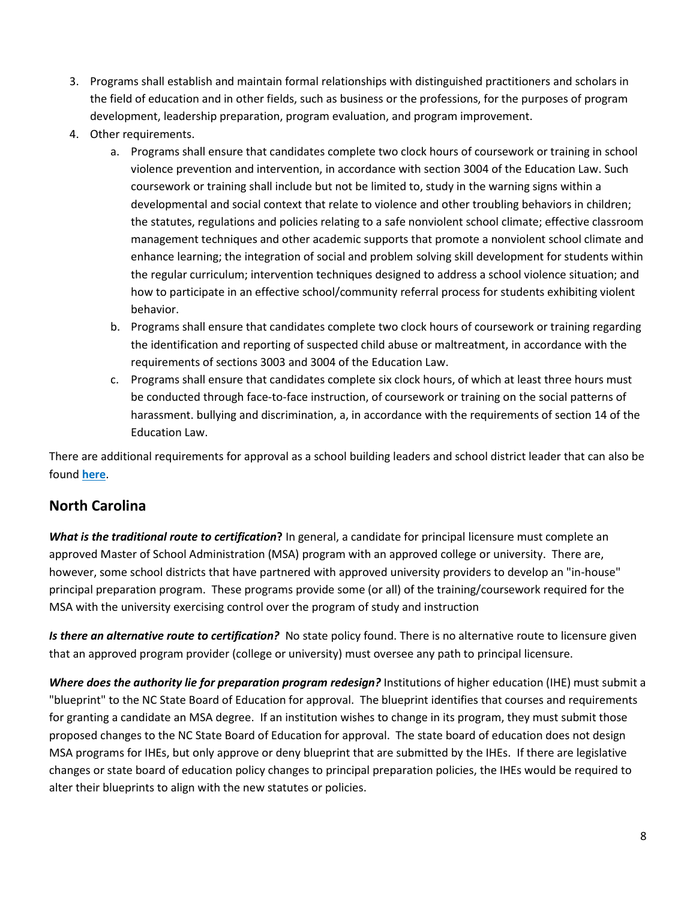- 3. Programs shall establish and maintain formal relationships with distinguished practitioners and scholars in the field of education and in other fields, such as business or the professions, for the purposes of program development, leadership preparation, program evaluation, and program improvement.
- 4. Other requirements.
	- a. Programs shall ensure that candidates complete two clock hours of coursework or training in school violence prevention and intervention, in accordance with section 3004 of the Education Law. Such coursework or training shall include but not be limited to, study in the warning signs within a developmental and social context that relate to violence and other troubling behaviors in children; the statutes, regulations and policies relating to a safe nonviolent school climate; effective classroom management techniques and other academic supports that promote a nonviolent school climate and enhance learning; the integration of social and problem solving skill development for students within the regular curriculum; intervention techniques designed to address a school violence situation; and how to participate in an effective school/community referral process for students exhibiting violent behavior.
	- b. Programs shall ensure that candidates complete two clock hours of coursework or training regarding the identification and reporting of suspected child abuse or maltreatment, in accordance with the requirements of sections 3003 and 3004 of the Education Law.
	- c. Programs shall ensure that candidates complete six clock hours, of which at least three hours must be conducted through face-to-face instruction, of coursework or training on the social patterns of harassment. bullying and discrimination, a, in accordance with the requirements of section 14 of the Education Law.

There are additional requirements for approval as a school building leaders and school district leader that can also be found **[here](https://govt.westlaw.com/nycrr/Document/Ieca6da1bc22111dd97adcd755bda2840?viewType=FullText&originationContext=documenttoc&transitionType=CategoryPageItem&contextData=(sc.Default))**.

# **North Carolina**

*What is the traditional route to certification***?** In general, a candidate for principal licensure must complete an approved Master of School Administration (MSA) program with an approved college or university. There are, however, some school districts that have partnered with approved university providers to develop an "in-house" principal preparation program. These programs provide some (or all) of the training/coursework required for the MSA with the university exercising control over the program of study and instruction

*Is there an alternative route to certification?* No state policy found. There is no alternative route to licensure given that an approved program provider (college or university) must oversee any path to principal licensure.

*Where does the authority lie for preparation program redesign?* Institutions of higher education (IHE) must submit a "blueprint" to the NC State Board of Education for approval. The blueprint identifies that courses and requirements for granting a candidate an MSA degree. If an institution wishes to change in its program, they must submit those proposed changes to the NC State Board of Education for approval. The state board of education does not design MSA programs for IHEs, but only approve or deny blueprint that are submitted by the IHEs. If there are legislative changes or state board of education policy changes to principal preparation policies, the IHEs would be required to alter their blueprints to align with the new statutes or policies.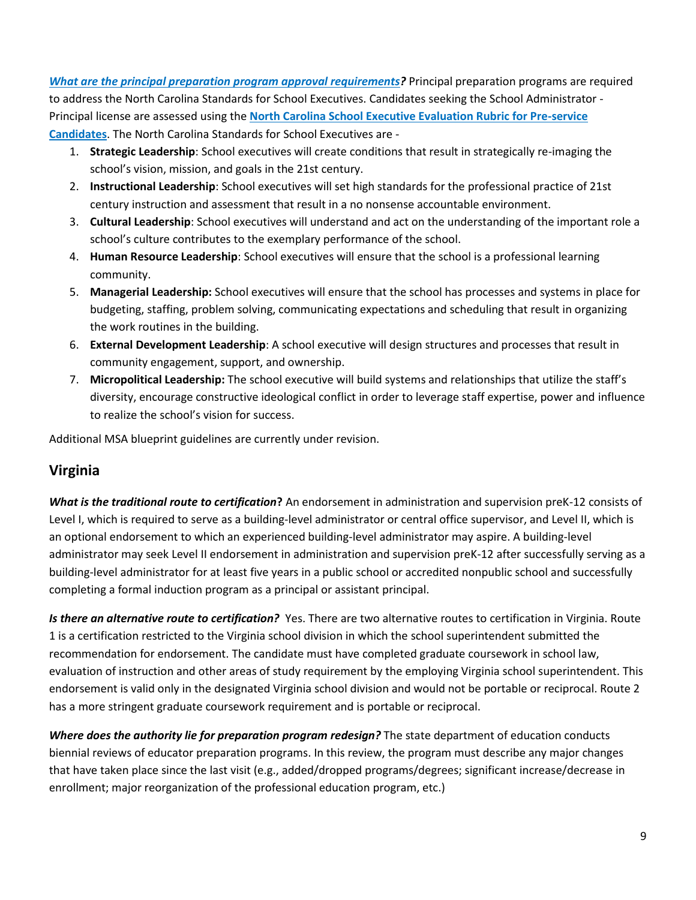*[What are the principal preparation program approval requirements?](https://stateboard.ncpublicschools.gov/policy-manual/teacher-education/standards-and-indicators-for-approved-teacher-education-programs)* Principal preparation programs are required to address the North Carolina Standards for School Executives. Candidates seeking the School Administrator - Principal license are assessed using the **[North Carolina School Executive Evaluation Rubric for Pre-service](http://www.ncpublicschools.org/docs/ihe/edprep/executive/pre-service-principal-rubric.pdf)  [Candidates](http://www.ncpublicschools.org/docs/ihe/edprep/executive/pre-service-principal-rubric.pdf)**. The North Carolina Standards for School Executives are -

- 1. **Strategic Leadership**: School executives will create conditions that result in strategically re-imaging the school's vision, mission, and goals in the 21st century.
- 2. **Instructional Leadership**: School executives will set high standards for the professional practice of 21st century instruction and assessment that result in a no nonsense accountable environment.
- 3. **Cultural Leadership**: School executives will understand and act on the understanding of the important role a school's culture contributes to the exemplary performance of the school.
- 4. **Human Resource Leadership**: School executives will ensure that the school is a professional learning community.
- 5. **Managerial Leadership:** School executives will ensure that the school has processes and systems in place for budgeting, staffing, problem solving, communicating expectations and scheduling that result in organizing the work routines in the building.
- 6. **External Development Leadership**: A school executive will design structures and processes that result in community engagement, support, and ownership.
- 7. **Micropolitical Leadership:** The school executive will build systems and relationships that utilize the staff's diversity, encourage constructive ideological conflict in order to leverage staff expertise, power and influence to realize the school's vision for success.

Additional MSA blueprint guidelines are currently under revision.

# **Virginia**

*What is the traditional route to certification***?** An endorsement in administration and supervision preK-12 consists of Level I, which is required to serve as a building-level administrator or central office supervisor, and Level II, which is an optional endorsement to which an experienced building-level administrator may aspire. A building-level administrator may seek Level II endorsement in administration and supervision preK-12 after successfully serving as a building-level administrator for at least five years in a public school or accredited nonpublic school and successfully completing a formal induction program as a principal or assistant principal.

*Is there an alternative route to certification?* Yes. There are two alternative routes to certification in Virginia. Route 1 is a certification restricted to the Virginia school division in which the school superintendent submitted the recommendation for endorsement. The candidate must have completed graduate coursework in school law, evaluation of instruction and other areas of study requirement by the employing Virginia school superintendent. This endorsement is valid only in the designated Virginia school division and would not be portable or reciprocal. Route 2 has a more stringent graduate coursework requirement and is portable or reciprocal.

*Where does the authority lie for preparation program redesign?* The state department of education conducts biennial reviews of educator preparation programs. In this review, the program must describe any major changes that have taken place since the last visit (e.g., added/dropped programs/degrees; significant increase/decrease in enrollment; major reorganization of the professional education program, etc.)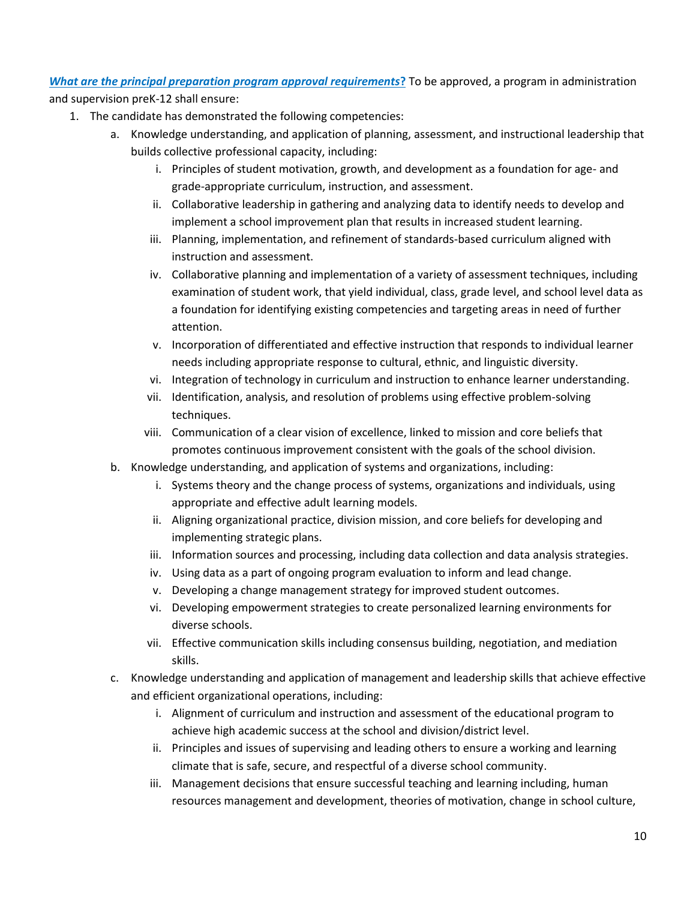#### *[What are the principal preparation program approval requirements](https://law.lis.virginia.gov/admincode/title8/agency20/chapter542/section530/)***?** To be approved, a program in administration

and supervision preK-12 shall ensure:

- 1. The candidate has demonstrated the following competencies:
	- a. Knowledge understanding, and application of planning, assessment, and instructional leadership that builds collective professional capacity, including:
		- i. Principles of student motivation, growth, and development as a foundation for age- and grade-appropriate curriculum, instruction, and assessment.
		- ii. Collaborative leadership in gathering and analyzing data to identify needs to develop and implement a school improvement plan that results in increased student learning.
		- iii. Planning, implementation, and refinement of standards-based curriculum aligned with instruction and assessment.
		- iv. Collaborative planning and implementation of a variety of assessment techniques, including examination of student work, that yield individual, class, grade level, and school level data as a foundation for identifying existing competencies and targeting areas in need of further attention.
		- v. Incorporation of differentiated and effective instruction that responds to individual learner needs including appropriate response to cultural, ethnic, and linguistic diversity.
		- vi. Integration of technology in curriculum and instruction to enhance learner understanding.
		- vii. Identification, analysis, and resolution of problems using effective problem-solving techniques.
		- viii. Communication of a clear vision of excellence, linked to mission and core beliefs that promotes continuous improvement consistent with the goals of the school division.
	- b. Knowledge understanding, and application of systems and organizations, including:
		- i. Systems theory and the change process of systems, organizations and individuals, using appropriate and effective adult learning models.
		- ii. Aligning organizational practice, division mission, and core beliefs for developing and implementing strategic plans.
		- iii. Information sources and processing, including data collection and data analysis strategies.
		- iv. Using data as a part of ongoing program evaluation to inform and lead change.
		- v. Developing a change management strategy for improved student outcomes.
		- vi. Developing empowerment strategies to create personalized learning environments for diverse schools.
		- vii. Effective communication skills including consensus building, negotiation, and mediation skills.
	- c. Knowledge understanding and application of management and leadership skills that achieve effective and efficient organizational operations, including:
		- i. Alignment of curriculum and instruction and assessment of the educational program to achieve high academic success at the school and division/district level.
		- ii. Principles and issues of supervising and leading others to ensure a working and learning climate that is safe, secure, and respectful of a diverse school community.
		- iii. Management decisions that ensure successful teaching and learning including, human resources management and development, theories of motivation, change in school culture,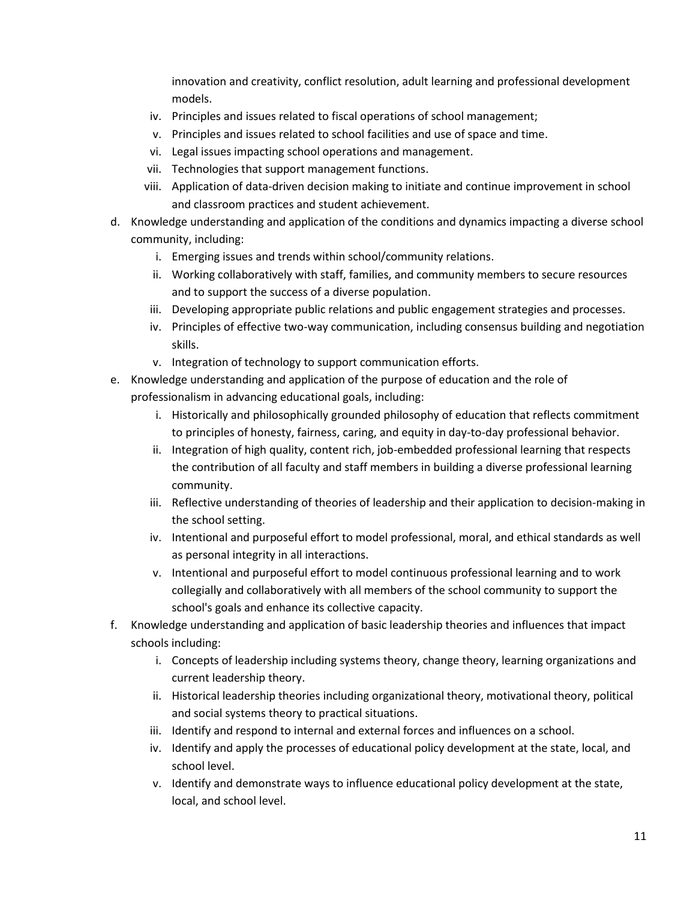innovation and creativity, conflict resolution, adult learning and professional development models.

- iv. Principles and issues related to fiscal operations of school management;
- v. Principles and issues related to school facilities and use of space and time.
- vi. Legal issues impacting school operations and management.
- vii. Technologies that support management functions.
- viii. Application of data-driven decision making to initiate and continue improvement in school and classroom practices and student achievement.
- d. Knowledge understanding and application of the conditions and dynamics impacting a diverse school community, including:
	- i. Emerging issues and trends within school/community relations.
	- ii. Working collaboratively with staff, families, and community members to secure resources and to support the success of a diverse population.
	- iii. Developing appropriate public relations and public engagement strategies and processes.
	- iv. Principles of effective two-way communication, including consensus building and negotiation skills.
	- v. Integration of technology to support communication efforts.
- e. Knowledge understanding and application of the purpose of education and the role of professionalism in advancing educational goals, including:
	- i. Historically and philosophically grounded philosophy of education that reflects commitment to principles of honesty, fairness, caring, and equity in day-to-day professional behavior.
	- ii. Integration of high quality, content rich, job-embedded professional learning that respects the contribution of all faculty and staff members in building a diverse professional learning community.
	- iii. Reflective understanding of theories of leadership and their application to decision-making in the school setting.
	- iv. Intentional and purposeful effort to model professional, moral, and ethical standards as well as personal integrity in all interactions.
	- v. Intentional and purposeful effort to model continuous professional learning and to work collegially and collaboratively with all members of the school community to support the school's goals and enhance its collective capacity.
- f. Knowledge understanding and application of basic leadership theories and influences that impact schools including:
	- i. Concepts of leadership including systems theory, change theory, learning organizations and current leadership theory.
	- ii. Historical leadership theories including organizational theory, motivational theory, political and social systems theory to practical situations.
	- iii. Identify and respond to internal and external forces and influences on a school.
	- iv. Identify and apply the processes of educational policy development at the state, local, and school level.
	- v. Identify and demonstrate ways to influence educational policy development at the state, local, and school level.